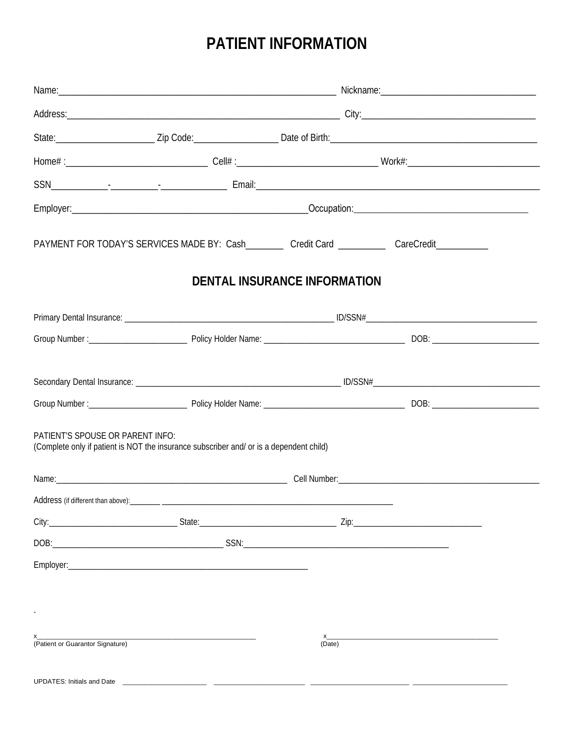# PATIENT INFORMATION

|                                    | PAYMENT FOR TODAY'S SERVICES MADE BY: Cash__________ Credit Card ___________ CareCredit____________ |                              |  |  |
|------------------------------------|-----------------------------------------------------------------------------------------------------|------------------------------|--|--|
|                                    |                                                                                                     | DENTAL INSURANCE INFORMATION |  |  |
|                                    |                                                                                                     |                              |  |  |
|                                    |                                                                                                     |                              |  |  |
|                                    |                                                                                                     |                              |  |  |
|                                    |                                                                                                     |                              |  |  |
| PATIENT'S SPOUSE OR PARENT INFO:   | (Complete only if patient is NOT the insurance subscriber and/ or is a dependent child)             |                              |  |  |
|                                    |                                                                                                     |                              |  |  |
| Address (if different than above): |                                                                                                     |                              |  |  |
|                                    |                                                                                                     |                              |  |  |
|                                    |                                                                                                     |                              |  |  |
|                                    |                                                                                                     |                              |  |  |
|                                    |                                                                                                     |                              |  |  |
|                                    |                                                                                                     |                              |  |  |
| (Patient or Guarantor Signature)   |                                                                                                     | (Date)                       |  |  |
| <b>UPDATES: Initials and Date</b>  |                                                                                                     |                              |  |  |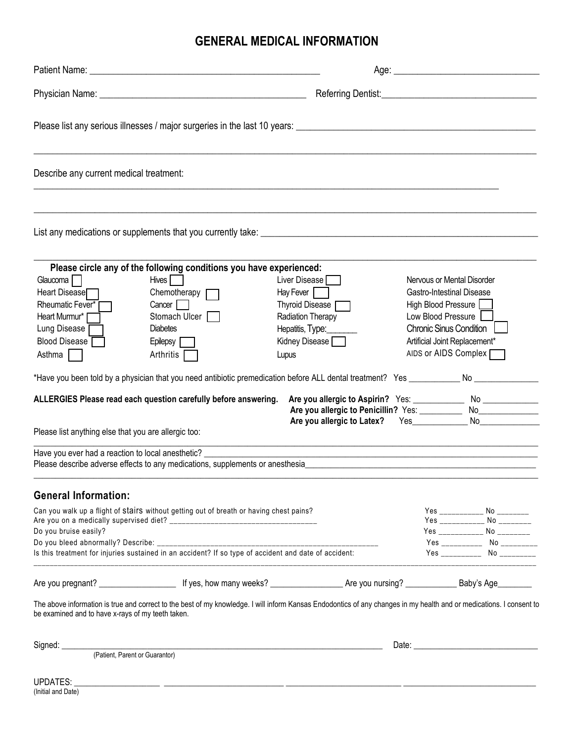### **GENERAL MEDICAL INFORMATION**

| Describe any current medical treatment:                                                                                                                                                                                             |                                                                                                                                                                                                                                                                                                                                                                                                                                                                                  |                                                                                                                       |  |                                                                                                                                                                                                        |                                                                                                                                                                 |
|-------------------------------------------------------------------------------------------------------------------------------------------------------------------------------------------------------------------------------------|----------------------------------------------------------------------------------------------------------------------------------------------------------------------------------------------------------------------------------------------------------------------------------------------------------------------------------------------------------------------------------------------------------------------------------------------------------------------------------|-----------------------------------------------------------------------------------------------------------------------|--|--------------------------------------------------------------------------------------------------------------------------------------------------------------------------------------------------------|-----------------------------------------------------------------------------------------------------------------------------------------------------------------|
|                                                                                                                                                                                                                                     |                                                                                                                                                                                                                                                                                                                                                                                                                                                                                  |                                                                                                                       |  |                                                                                                                                                                                                        |                                                                                                                                                                 |
| Glaucoma <sup>1</sup><br>Heart Disease<br>Rheumatic Fever*<br>Heart Murmur*<br>Lung Disease<br>Blood Disease<br>Asthma<br>Please list anything else that you are allergic too:<br>Have you ever had a reaction to local anesthetic? | Please circle any of the following conditions you have experienced:<br>Hives    <br>Chemotherapy $\Gamma$<br>Cancer<br>Stomach Ulcer<br><b>Diabetes</b><br>Epilepsy<br>Arthritis<br>*Have you been told by a physician that you need antibiotic premedication before ALL dental treatment? Yes _____________ No ___________<br>ALLERGIES Please read each question carefully before answering.<br>Please describe adverse effects to any medications, supplements or anesthesia_ | Liver Disease<br>Hay Fever<br>Thyroid Disease [<br>Radiation Therapy<br>Hepatitis, Type:<br>Kidney Disease [<br>Lupus |  | Nervous or Mental Disorder<br><b>Gastro-Intestinal Disease</b><br>High Blood Pressure<br>Low Blood Pressure<br><b>Chronic Sinus Condition</b><br>Artificial Joint Replacement*<br>AIDS or AIDS Complex | Are you allergic to Aspirin? Yes: _______________ No ______________                                                                                             |
| <b>General Information:</b><br>Do you bruise easily?<br>Do you bleed abnormally? Describe: ____________                                                                                                                             | Can you walk up a flight of stairs without getting out of breath or having chest pains?<br>Is this treatment for injuries sustained in an accident? If so type of accident and date of accident:                                                                                                                                                                                                                                                                                 |                                                                                                                       |  |                                                                                                                                                                                                        | Yes ____________ No ________<br>Yes ____________ No ________<br>Yes _____________ No _________<br>Yes ___________ No __________<br>Yes ___________ No _________ |
|                                                                                                                                                                                                                                     | The above information is true and correct to the best of my knowledge. I will inform Kansas Endodontics of any changes in my health and or medications. I consent to                                                                                                                                                                                                                                                                                                             |                                                                                                                       |  |                                                                                                                                                                                                        |                                                                                                                                                                 |
| be examined and to have x-rays of my teeth taken.                                                                                                                                                                                   |                                                                                                                                                                                                                                                                                                                                                                                                                                                                                  |                                                                                                                       |  |                                                                                                                                                                                                        |                                                                                                                                                                 |

Signed: \_\_\_\_\_\_\_\_\_\_\_\_\_\_\_\_\_\_\_\_\_\_\_\_\_\_\_\_\_\_\_\_\_\_\_\_\_\_\_\_\_\_\_\_\_\_\_\_\_\_\_\_\_\_\_\_\_\_\_\_\_\_\_\_\_\_\_\_\_\_\_\_\_\_\_ Date: \_\_\_\_\_\_\_\_\_\_\_\_\_\_\_\_\_\_\_\_\_\_\_\_\_\_\_\_\_ (Patient, Parent or Guarantor)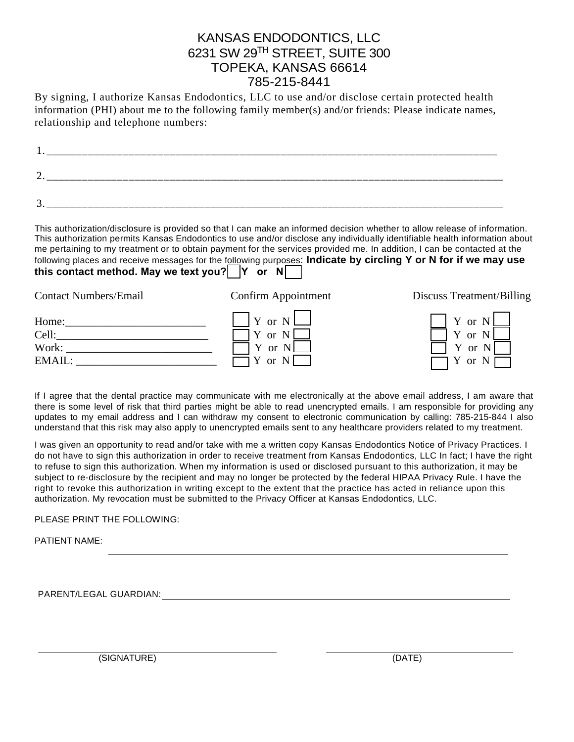### KANSAS ENDODONTICS, LLC 6231 SW 29TH STREET, SUITE 300 TOPEKA, KANSAS 66614 785-215-8441

By signing, I authorize Kansas Endodontics, LLC to use and/or disclose certain protected health information (PHI) about me to the following family member(s) and/or friends: Please indicate names, relationship and telephone numbers:

| $\sqrt{2}$<br>∼<br>-- |  |  |  |
|-----------------------|--|--|--|
| $\sqrt{2}$<br>-4<br>ັ |  |  |  |

This authorization/disclosure is provided so that I can make an informed decision whether to allow release of information. This authorization permits Kansas Endodontics to use and/or disclose any individually identifiable health information about me pertaining to my treatment or to obtain payment for the services provided me. In addition, I can be contacted at the following places and receive messages for the following purposes: **Indicate by circling Y or N for if we may use this contact method. May we text you?** Y or N

| <b>Contact Numbers/Email</b> | Confirm Appointment | Discuss Treatment/Billing |
|------------------------------|---------------------|---------------------------|
| Home:                        | $\vert$ Y or N      | Y or $N \Box$             |
| Cell:                        | Y or N              | Y or N                    |
| Work:                        | Y or N              | Y or                      |
| EMAIL:                       | Y or N              | Y or $N \Box$             |

If I agree that the dental practice may communicate with me electronically at the above email address, I am aware that there is some level of risk that third parties might be able to read unencrypted emails. I am responsible for providing any updates to my email address and I can withdraw my consent to electronic communication by calling: 785-215-844 I also understand that this risk may also apply to unencrypted emails sent to any healthcare providers related to my treatment.

I was given an opportunity to read and/or take with me a written copy Kansas Endodontics Notice of Privacy Practices. I do not have to sign this authorization in order to receive treatment from Kansas Endodontics, LLC In fact; I have the right to refuse to sign this authorization. When my information is used or disclosed pursuant to this authorization, it may be subject to re-disclosure by the recipient and may no longer be protected by the federal HIPAA Privacy Rule. I have the right to revoke this authorization in writing except to the extent that the practice has acted in reliance upon this authorization. My revocation must be submitted to the Privacy Officer at Kansas Endodontics, LLC.

#### PLEASE PRINT THE FOLLOWING:

PATIENT NAME:

PARENT/LEGAL GUARDIAN:

(SIGNATURE) (DATE)